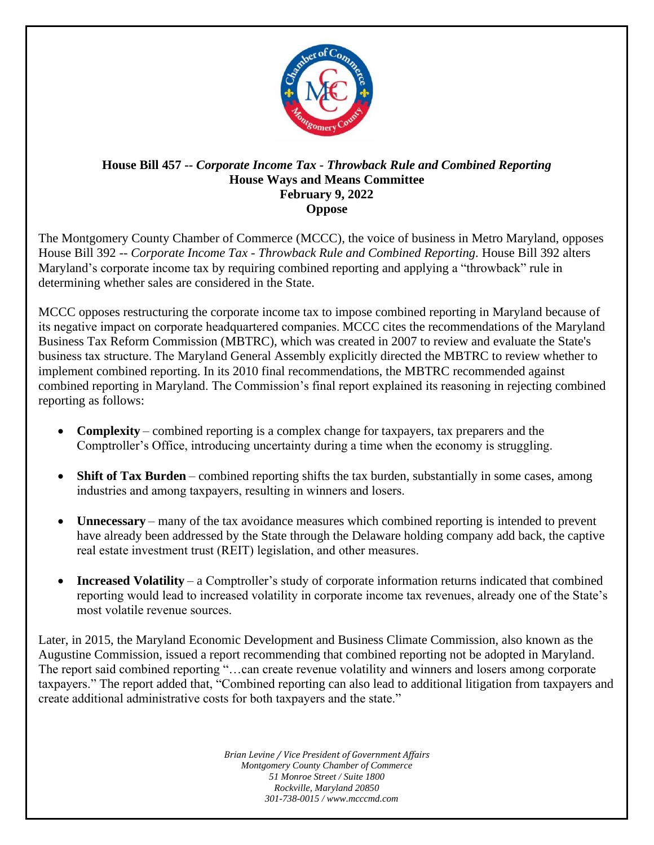

## **House Bill 457 --** *Corporate Income Tax - Throwback Rule and Combined Reporting* **House Ways and Means Committee February 9, 2022 Oppose**

The Montgomery County Chamber of Commerce (MCCC), the voice of business in Metro Maryland, opposes House Bill 392 -- *Corporate Income Tax - Throwback Rule and Combined Reporting.* House Bill 392 alters Maryland's corporate income tax by requiring combined reporting and applying a "throwback" rule in determining whether sales are considered in the State.

MCCC opposes restructuring the corporate income tax to impose combined reporting in Maryland because of its negative impact on corporate headquartered companies. MCCC cites the recommendations of the Maryland Business Tax Reform Commission (MBTRC), which was created in 2007 to review and evaluate the State's business tax structure. The Maryland General Assembly explicitly directed the MBTRC to review whether to implement combined reporting. In its 2010 final recommendations, the MBTRC recommended against combined reporting in Maryland. The Commission's final report explained its reasoning in rejecting combined reporting as follows:

- **Complexity** combined reporting is a complex change for taxpayers, tax preparers and the Comptroller's Office, introducing uncertainty during a time when the economy is struggling.
- **Shift of Tax Burden** combined reporting shifts the tax burden, substantially in some cases, among industries and among taxpayers, resulting in winners and losers.
- **Unnecessary** many of the tax avoidance measures which combined reporting is intended to prevent have already been addressed by the State through the Delaware holding company add back, the captive real estate investment trust (REIT) legislation, and other measures.
- **Increased Volatility** a Comptroller's study of corporate information returns indicated that combined reporting would lead to increased volatility in corporate income tax revenues, already one of the State's most volatile revenue sources.

Later, in 2015, the Maryland Economic Development and Business Climate Commission, also known as the Augustine Commission, issued a report recommending that combined reporting not be adopted in Maryland. The report said combined reporting "…can create revenue volatility and winners and losers among corporate taxpayers." The report added that, "Combined reporting can also lead to additional litigation from taxpayers and create additional administrative costs for both taxpayers and the state."

> *Brian Levine / Vice President of Government Affairs Montgomery County Chamber of Commerce 51 Monroe Street / Suite 1800 Rockville, Maryland 20850 301-738-0015 / www.mcccmd.com*